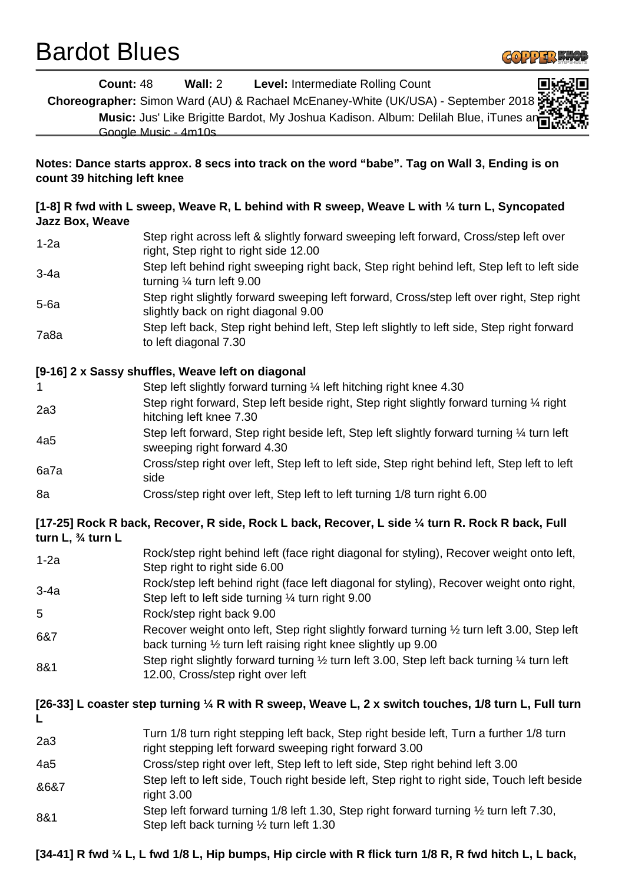## Bardot Blues



| <b>Count: 48</b>                                                                                                               | <b>Wall: 2</b> Level: Intermediate Rolling Count                                                                                                              |  |
|--------------------------------------------------------------------------------------------------------------------------------|---------------------------------------------------------------------------------------------------------------------------------------------------------------|--|
|                                                                                                                                | Choreographer: Simon Ward (AU) & Rachael McEnaney-White (UK/USA) - September 2018                                                                             |  |
|                                                                                                                                | Music: Jus' Like Brigitte Bardot, My Joshua Kadison. Album: Delilah Blue, iTunes an<br>Google Music - 4m10s                                                   |  |
| Notes: Dance starts approx. 8 secs into track on the word "babe". Tag on Wall 3, Ending is on<br>count 39 hitching left knee   |                                                                                                                                                               |  |
| [1-8] R fwd with L sweep, Weave R, L behind with R sweep, Weave L with $\frac{1}{4}$ turn L, Syncopated<br>Jazz Box, Weave     |                                                                                                                                                               |  |
| $1-2a$                                                                                                                         | Step right across left & slightly forward sweeping left forward, Cross/step left over<br>right, Step right to right side 12.00                                |  |
| $3-4a$                                                                                                                         | Step left behind right sweeping right back, Step right behind left, Step left to left side<br>turning $\frac{1}{4}$ turn left 9.00                            |  |
| $5-6a$                                                                                                                         | Step right slightly forward sweeping left forward, Cross/step left over right, Step right<br>slightly back on right diagonal 9.00                             |  |
| 7a8a                                                                                                                           | Step left back, Step right behind left, Step left slightly to left side, Step right forward<br>to left diagonal 7.30                                          |  |
| [9-16] 2 x Sassy shuffles, Weave left on diagonal                                                                              |                                                                                                                                                               |  |
| 1                                                                                                                              | Step left slightly forward turning 1/4 left hitching right knee 4.30                                                                                          |  |
| 2a3                                                                                                                            | Step right forward, Step left beside right, Step right slightly forward turning 1/4 right<br>hitching left knee 7.30                                          |  |
| 4a5                                                                                                                            | Step left forward, Step right beside left, Step left slightly forward turning 1/4 turn left<br>sweeping right forward 4.30                                    |  |
| 6a7a                                                                                                                           | Cross/step right over left, Step left to left side, Step right behind left, Step left to left<br>side                                                         |  |
| 8a                                                                                                                             | Cross/step right over left, Step left to left turning 1/8 turn right 6.00                                                                                     |  |
| [17-25] Rock R back, Recover, R side, Rock L back, Recover, L side ¼ turn R. Rock R back, Full<br>turn L, $\frac{3}{4}$ turn L |                                                                                                                                                               |  |
| $1-2a$                                                                                                                         | Rock/step right behind left (face right diagonal for styling), Recover weight onto left,<br>Step right to right side 6.00                                     |  |
| $3-4a$                                                                                                                         | Rock/step left behind right (face left diagonal for styling), Recover weight onto right,<br>Step left to left side turning 1/4 turn right 9.00                |  |
| 5                                                                                                                              | Rock/step right back 9.00                                                                                                                                     |  |
| 6&7                                                                                                                            | Recover weight onto left, Step right slightly forward turning 1/2 turn left 3.00, Step left<br>back turning 1/2 turn left raising right knee slightly up 9.00 |  |
| 8&1                                                                                                                            | Step right slightly forward turning 1/2 turn left 3.00, Step left back turning 1/4 turn left<br>12.00, Cross/step right over left                             |  |
|                                                                                                                                | [26-33] L coaster step turning 1⁄4 R with R sweep, Weave L, 2 x switch touches, 1/8 turn L, Full turn                                                         |  |
| 2a3                                                                                                                            | Turn 1/8 turn right stepping left back, Step right beside left, Turn a further 1/8 turn<br>right stepping left forward sweeping right forward 3.00            |  |
| 4a5                                                                                                                            | Cross/step right over left, Step left to left side, Step right behind left 3.00                                                                               |  |
| 8687                                                                                                                           | Step left to left side, Touch right beside left, Step right to right side, Touch left beside<br>right 3.00                                                    |  |
| 8&1                                                                                                                            | Step left forward turning 1/8 left 1.30, Step right forward turning 1/2 turn left 7.30,<br>Step left back turning $\frac{1}{2}$ turn left 1.30                |  |
|                                                                                                                                |                                                                                                                                                               |  |

**[34-41] R fwd ¼ L, L fwd 1/8 L, Hip bumps, Hip circle with R flick turn 1/8 R, R fwd hitch L, L back,**